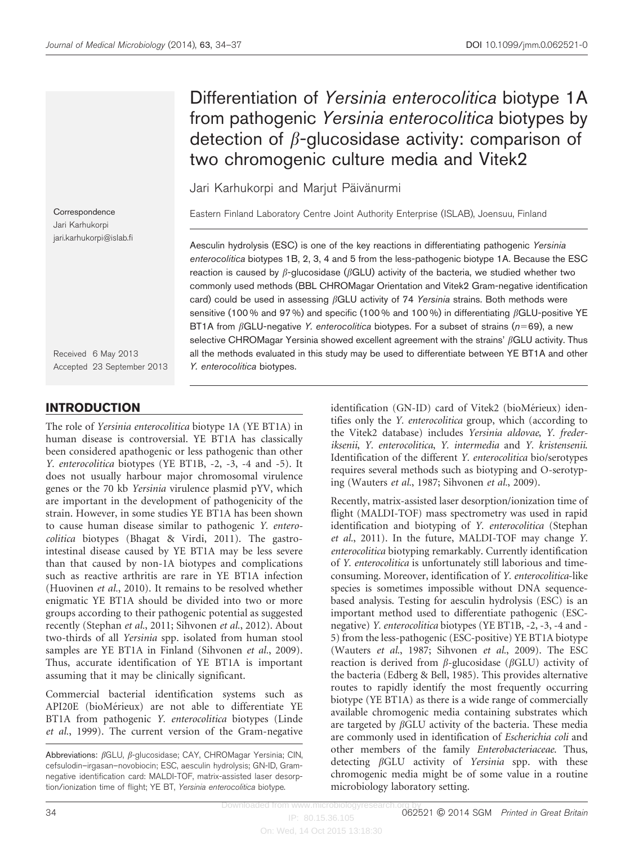# Differentiation of Yersinia enterocolitica biotype 1A from pathogenic Yersinia enterocolitica biotypes by detection of  $\beta$ -glucosidase activity: comparison of two chromogenic culture media and Vitek2

Jari Karhukorpi and Marjut Päivänurmi

Eastern Finland Laboratory Centre Joint Authority Enterprise (ISLAB), Joensuu, Finland

Aesculin hydrolysis (ESC) is one of the key reactions in differentiating pathogenic Yersinia enterocolitica biotypes 1B, 2, 3, 4 and 5 from the less-pathogenic biotype 1A. Because the ESC reaction is caused by  $\beta$ -glucosidase ( $\beta$ GLU) activity of the bacteria, we studied whether two commonly used methods (BBL CHROMagar Orientation and Vitek2 Gram-negative identification card) could be used in assessing  $\beta$ GLU activity of 74 Yersinia strains. Both methods were sensitive (100 % and 97 %) and specific (100 % and 100 %) in differentiating  $\beta$ GLU-positive YE BT1A from  $\beta$ GLU-negative Y. enterocolitica biotypes. For a subset of strains ( $n=69$ ), a new selective CHROMagar Yersinia showed excellent agreement with the strains'  $\beta$ GLU activity. Thus all the methods evaluated in this study may be used to differentiate between YE BT1A and other Y. enterocolitica biotypes.

**Correspondence** Jari Karhukorpi jari.karhukorpi@islab.fi

Received 6 May 2013 Accepted 23 September 2013

## INTRODUCTION

The role of Yersinia enterocolitica biotype 1A (YE BT1A) in human disease is controversial. YE BT1A has classically been considered apathogenic or less pathogenic than other Y. enterocolitica biotypes (YE BT1B, -2, -3, -4 and -5). It does not usually harbour major chromosomal virulence genes or the 70 kb Yersinia virulence plasmid pYV, which are important in the development of pathogenicity of the strain. However, in some studies YE BT1A has been shown to cause human disease similar to pathogenic Y. enterocolitica biotypes [\(Bhagat & Virdi, 2011](#page-3-0)). The gastrointestinal disease caused by YE BT1A may be less severe than that caused by non-1A biotypes and complications such as reactive arthritis are rare in YE BT1A infection [\(Huovinen](#page-3-0) et al., 2010). It remains to be resolved whether enigmatic YE BT1A should be divided into two or more groups according to their pathogenic potential as suggested recently [\(Stephan](#page-3-0) et al., 2011; [Sihvonen](#page-3-0) et al., 2012). About two-thirds of all Yersinia spp. isolated from human stool samples are YE BT1A in Finland ([Sihvonen](#page-3-0) et al., 2009). Thus, accurate identification of YE BT1A is important assuming that it may be clinically significant.

Commercial bacterial identification systems such as API20E (bioMérieux) are not able to differentiate YE BT1A from pathogenic Y. enterocolitica biotypes ([Linde](#page-3-0) et al.[, 1999](#page-3-0)). The current version of the Gram-negative

Abbreviations:  $\beta$ GLU,  $\beta$ -glucosidase; CAY, CHROMagar Yersinia; CIN, cefsulodin–irgasan–novobiocin; ESC, aesculin hydrolysis; GN-ID, Gramnegative identification card: MALDI-TOF, matrix-assisted laser desorption/ionization time of flight; YE BT, Yersinia enterocolitica biotype.

identification (GN-ID) card of Vitek2 (bioMérieux) identifies only the Y. enterocolitica group, which (according to the Vitek2 database) includes Yersinia aldovae, Y. frederiksenii, Y. enterocolitica, Y. intermedia and Y. kristensenii. Identification of the different Y. enterocolitica bio/serotypes requires several methods such as biotyping and O-serotyping ([Wauters](#page-3-0) et al., 1987; [Sihvonen](#page-3-0) et al., 2009).

Recently, matrix-assisted laser desorption/ionization time of flight (MALDI-TOF) mass spectrometry was used in rapid identification and biotyping of Y. enterocolitica [\(Stephan](#page-3-0) et al.[, 2011](#page-3-0)). In the future, MALDI-TOF may change Y. enterocolitica biotyping remarkably. Currently identification of Y. enterocolitica is unfortunately still laborious and timeconsuming. Moreover, identification of Y. enterocolitica-like species is sometimes impossible without DNA sequencebased analysis. Testing for aesculin hydrolysis (ESC) is an important method used to differentiate pathogenic (ESCnegative) Y. enterocolitica biotypes (YE BT1B, -2, -3, -4 and - 5) from the less-pathogenic (ESC-positive) YE BT1A biotype [\(Wauters](#page-3-0) et al., 1987; [Sihvonen](#page-3-0) et al., 2009). The ESC reaction is derived from  $\beta$ -glucosidase ( $\beta$ GLU) activity of the bacteria ([Edberg & Bell, 1985\)](#page-3-0). This provides alternative routes to rapidly identify the most frequently occurring biotype (YE BT1A) as there is a wide range of commercially available chromogenic media containing substrates which are targeted by  $\beta$ GLU activity of the bacteria. These media are commonly used in identification of Escherichia coli and other members of the family Enterobacteriaceae. Thus, detecting  $\beta$ GLU activity of Yersinia spp. with these chromogenic media might be of some value in a routine microbiology laboratory setting.

Downloaded from www.microbiologyresearch.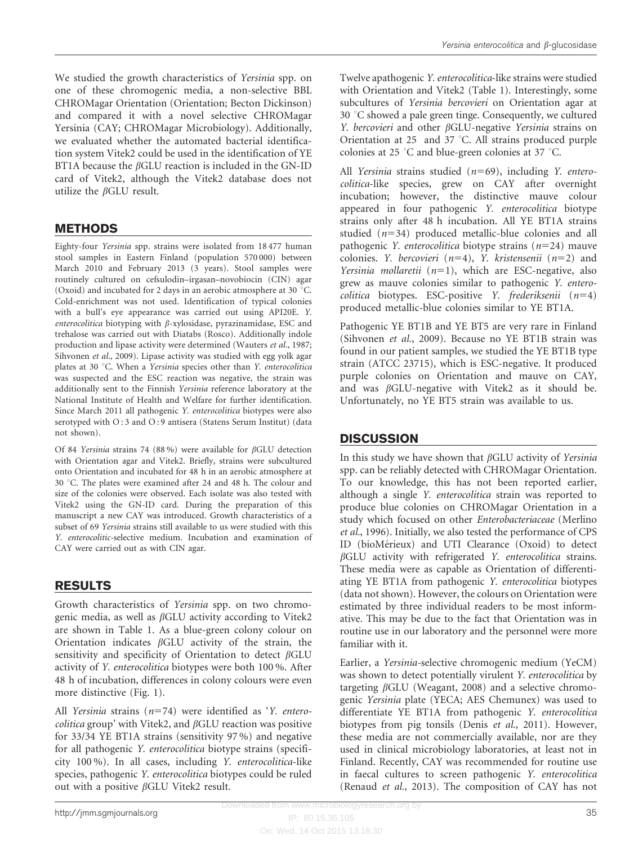We studied the growth characteristics of Yersinia spp. on one of these chromogenic media, a non-selective BBL CHROMagar Orientation (Orientation; Becton Dickinson) and compared it with a novel selective CHROMagar Yersinia (CAY; CHROMagar Microbiology). Additionally, we evaluated whether the automated bacterial identification system Vitek2 could be used in the identification of YE BT1A because the  $\beta$ GLU reaction is included in the GN-ID card of Vitek2, although the Vitek2 database does not utilize the  $\beta$ GLU result.

#### **METHODS**

Eighty-four Yersinia spp. strains were isolated from 18 477 human stool samples in Eastern Finland (population 570 000) between March 2010 and February 2013 (3 years). Stool samples were routinely cultured on cefsulodin–irgasan–novobiocin (CIN) agar (Oxoid) and incubated for 2 days in an aerobic atmosphere at 30  $^{\circ}$ C. Cold-enrichment was not used. Identification of typical colonies with a bull's eye appearance was carried out using API20E. Y. enterocolitica biotyping with  $\beta$ -xylosidase, pyrazinamidase, ESC and trehalose was carried out with Diatabs (Rosco). Additionally indole production and lipase activity were determined ([Wauters](#page-3-0) et al., 1987; [Sihvonen](#page-3-0) et al., 2009). Lipase activity was studied with egg yolk agar plates at 30 °C. When a Yersinia species other than Y. enterocolitica was suspected and the ESC reaction was negative, the strain was additionally sent to the Finnish Yersinia reference laboratory at the National Institute of Health and Welfare for further identification. Since March 2011 all pathogenic Y. enterocolitica biotypes were also serotyped with O:3 and O:9 antisera (Statens Serum Institut) (data not shown).

Of 84 Yersinia strains 74 (88%) were available for  $\beta$ GLU detection with Orientation agar and Vitek2. Briefly, strains were subcultured onto Orientation and incubated for 48 h in an aerobic atmosphere at 30 °C. The plates were examined after 24 and 48 h. The colour and size of the colonies were observed. Each isolate was also tested with Vitek2 using the GN-ID card. During the preparation of this manuscript a new CAY was introduced. Growth characteristics of a subset of 69 Yersinia strains still available to us were studied with this Y. enterocolitic-selective medium. Incubation and examination of CAY were carried out as with CIN agar.

#### RESULTS

Growth characteristics of Yersinia spp. on two chromogenic media, as well as  $\beta$ GLU activity according to Vitek2 are shown in [Table 1.](#page-2-0) As a blue-green colony colour on Orientation indicates  $\beta$ GLU activity of the strain, the sensitivity and specificity of Orientation to detect  $\beta$ GLU activity of Y. enterocolitica biotypes were both 100 %. After 48 h of incubation, differences in colony colours were even more distinctive ([Fig. 1\)](#page-2-0).

All Yersinia strains  $(n=74)$  were identified as 'Y. entero*colitica* group' with Vitek2, and  $\beta$ GLU reaction was positive for 33/34 YE BT1A strains (sensitivity 97 %) and negative for all pathogenic Y. enterocolitica biotype strains (specificity 100 %). In all cases, including Y. enterocolitica-like species, pathogenic Y. enterocolitica biotypes could be ruled out with a positive  $\beta$ GLU Vitek2 result.

Twelve apathogenic Y. enterocolitica-like strains were studied with Orientation and Vitek2 [\(Table 1](#page-2-0)). Interestingly, some subcultures of Yersinia bercovieri on Orientation agar at  $30 °C$  showed a pale green tinge. Consequently, we cultured Y. bercovieri and other  $\beta$ GLU-negative Yersinia strains on Orientation at 25 and 37  $^{\circ}$ C. All strains produced purple colonies at 25  $\degree$ C and blue-green colonies at 37  $\degree$ C.

All Yersinia strains studied  $(n=69)$ , including Y. enterocolitica-like species, grew on CAY after overnight incubation; however, the distinctive mauve colour appeared in four pathogenic Y. enterocolitica biotype strains only after 48 h incubation. All YE BT1A strains studied  $(n=34)$  produced metallic-blue colonies and all pathogenic *Y. enterocolitica* biotype strains  $(n=24)$  mauve colonies. Y. bercovieri ( $n=4$ ), Y. kristensenii ( $n=2$ ) and Yersinia mollaretii  $(n=1)$ , which are ESC-negative, also grew as mauve colonies similar to pathogenic Y. enterocolitica biotypes. ESC-positive Y. frederiksenii  $(n=4)$ produced metallic-blue colonies similar to YE BT1A.

Pathogenic YE BT1B and YE BT5 are very rare in Finland ([Sihvonen](#page-3-0) et al., 2009). Because no YE BT1B strain was found in our patient samples, we studied the YE BT1B type strain (ATCC 23715), which is ESC-negative. It produced purple colonies on Orientation and mauve on CAY, and was  $\beta$ GLU-negative with Vitek2 as it should be. Unfortunately, no YE BT5 strain was available to us.

### **DISCUSSION**

In this study we have shown that  $\beta$ GLU activity of Yersinia spp. can be reliably detected with CHROMagar Orientation. To our knowledge, this has not been reported earlier, although a single Y. enterocolitica strain was reported to produce blue colonies on CHROMagar Orientation in a study which focused on other Enterobacteriaceae ([Merlino](#page-3-0) et al.[, 1996](#page-3-0)). Initially, we also tested the performance of CPS ID (bioMérieux) and UTI Clearance (Oxoid) to detect  $\beta$ GLU activity with refrigerated Y. enterocolitica strains. These media were as capable as Orientation of differentiating YE BT1A from pathogenic Y. enterocolitica biotypes (data not shown). However, the colours on Orientation were estimated by three individual readers to be most informative. This may be due to the fact that Orientation was in routine use in our laboratory and the personnel were more familiar with it.

Earlier, a Yersinia-selective chromogenic medium (YeCM) was shown to detect potentially virulent Y. enterocolitica by targeting  $\beta$ GLU [\(Weagant, 2008\)](#page-3-0) and a selective chromogenic Yersinia plate (YECA; AES Chemunex) was used to differentiate YE BT1A from pathogenic Y. enterocolitica biotypes from pig tonsils (Denis et al.[, 2011\)](#page-3-0). However, these media are not commercially available, nor are they used in clinical microbiology laboratories, at least not in Finland. Recently, CAY was recommended for routine use in faecal cultures to screen pathogenic Y. enterocolitica ([Renaud](#page-3-0) et al., 2013). The composition of CAY has not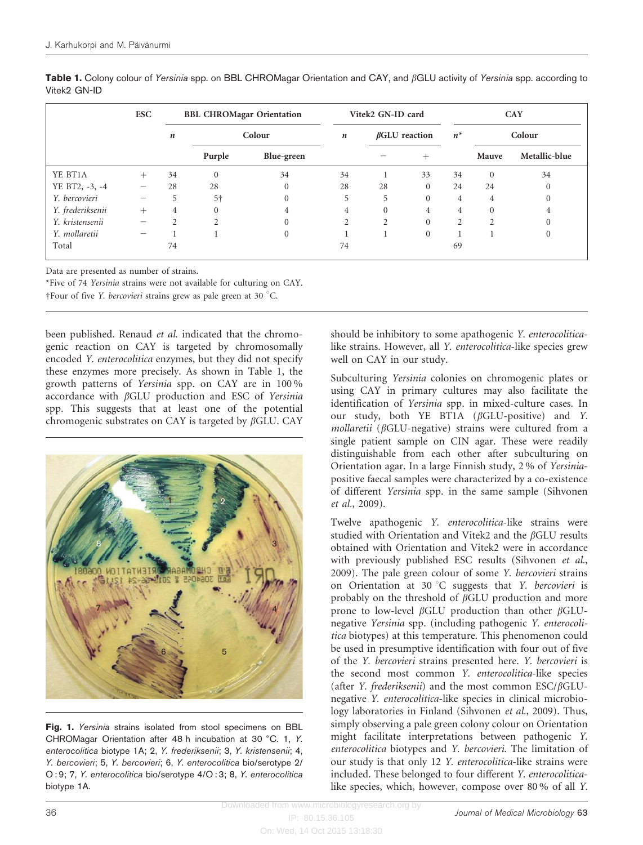|                  | <b>ESC</b>      | <b>BBL CHROMagar Orientation</b> |               |            | Vitek2 GN-ID card |                      |                | <b>CAY</b>     |                |               |
|------------------|-----------------|----------------------------------|---------------|------------|-------------------|----------------------|----------------|----------------|----------------|---------------|
|                  |                 | n                                | Colour        |            | $\boldsymbol{n}$  | $\beta$ GLU reaction |                | $n^*$          | Colour         |               |
|                  |                 |                                  | Purple        | Blue-green |                   |                      | $^{+}$         |                | Mauve          | Metallic-blue |
| YE BT1A          | $^{+}$          | 34                               | $\theta$      | 34         | 34                |                      | 33             | 34             | $\overline{0}$ | 34            |
| YE BT2, -3, -4   | $\qquad \qquad$ | 28                               | 28            | $\Omega$   | 28                | 28                   | $\Omega$       | 24             | 24             |               |
| Y. bercovieri    |                 | 5                                | 5†            | $\Omega$   | 5                 | 5                    | $\Omega$       | 4              | 4              |               |
| Y. frederiksenii | $^{+}$          | 4                                | $\theta$      | 4          | 4                 | $\Omega$             | $\overline{4}$ | $\overline{4}$ | $\Omega$       | 4             |
| Y. kristensenii  |                 | $\mathcal{D}$                    | $\mathcal{L}$ | $\Omega$   | $\mathcal{D}$     | $\overline{2}$       |                | $\overline{2}$ | $\overline{2}$ |               |
| Y. mollaretii    |                 |                                  |               | $\Omega$   |                   |                      | $\Omega$       |                |                |               |
| Total            |                 | 74                               |               |            | 74                |                      |                | 69             |                |               |

<span id="page-2-0"></span>Table 1. Colony colour of Yersinia spp. on BBL CHROMagar Orientation and CAY, and  $\beta$ GLU activity of Yersinia spp. according to Vitek2 GN-ID

Data are presented as number of strains.

\*Five of 74 Yersinia strains were not available for culturing on CAY.  $\pm$  Four of five *Y. bercovieri* strains grew as pale green at 30 °C.

been published. Renaud et al. indicated that the chromogenic reaction on CAY is targeted by chromosomally encoded Y. enterocolitica enzymes, but they did not specify these enzymes more precisely. As shown in Table 1, the growth patterns of Yersinia spp. on CAY are in 100 % accordance with  $\beta$ GLU production and ESC of Yersinia spp. This suggests that at least one of the potential chromogenic substrates on CAY is targeted by  $\beta$ GLU. CAY



Fig. 1. Yersinia strains isolated from stool specimens on BBL CHROMagar Orientation after 48 h incubation at 30 °C. 1, Y. enterocolitica biotype 1A; 2, Y. frederiksenii; 3, Y. kristensenii; 4, Y. bercovieri; 5, Y. bercovieri; 6, Y. enterocolitica bio/serotype 2/ O : 9; 7, Y. enterocolitica bio/serotype 4/O : 3; 8, Y. enterocolitica biotype 1A.

should be inhibitory to some apathogenic Y. enterocoliticalike strains. However, all Y. enterocolitica-like species grew well on CAY in our study.

Subculturing Yersinia colonies on chromogenic plates or using CAY in primary cultures may also facilitate the identification of Yersinia spp. in mixed-culture cases. In our study, both YE BT1A  $(\beta GLU\text{-}positive)$  and Y.  $mollaretii$  ( $\beta$ GLU-negative) strains were cultured from a single patient sample on CIN agar. These were readily distinguishable from each other after subculturing on Orientation agar. In a large Finnish study, 2 % of Yersiniapositive faecal samples were characterized by a co-existence of different Yersinia spp. in the same sample ([Sihvonen](#page-3-0) et al.[, 2009](#page-3-0)).

Twelve apathogenic Y. enterocolitica-like strains were studied with Orientation and Vitek2 and the  $\beta$ GLU results obtained with Orientation and Vitek2 were in accordance with previously published ESC results ([Sihvonen](#page-3-0) et al., [2009](#page-3-0)). The pale green colour of some Y. bercovieri strains on Orientation at 30 °C suggests that Y. bercovieri is probably on the threshold of  $\beta$ GLU production and more prone to low-level  $\beta$ GLU production than other  $\beta$ GLUnegative Yersinia spp. (including pathogenic Y. enterocolitica biotypes) at this temperature. This phenomenon could be used in presumptive identification with four out of five of the Y. bercovieri strains presented here. Y. bercovieri is the second most common Y. enterocolitica-like species (after Y. frederiksenii) and the most common ESC/ $\beta$ GLUnegative Y. enterocolitica-like species in clinical microbiology laboratories in Finland ([Sihvonen](#page-3-0) et al., 2009). Thus, simply observing a pale green colony colour on Orientation might facilitate interpretations between pathogenic Y. enterocolitica biotypes and Y. bercovieri. The limitation of our study is that only 12 Y. enterocolitica-like strains were included. These belonged to four different Y. enterocoliticalike species, which, however, compose over 80 % of all Y.